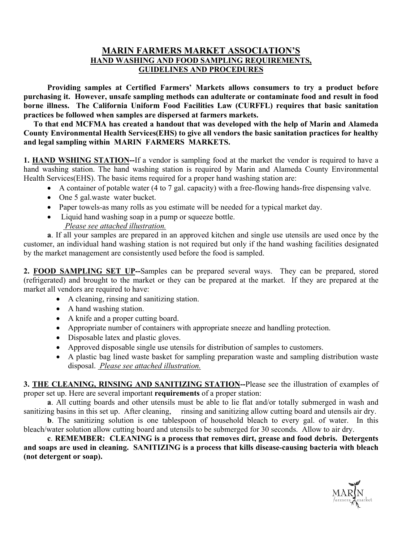## **MARIN FARMERS MARKET ASSOCIATION'S HAND WASHING AND FOOD SAMPLING REQUIREMENTS, GUIDELINES AND PROCEDURES**

**Providing samples at Certified Farmers' Markets allows consumers to try a product before purchasing it. However, unsafe sampling methods can adulterate or contaminate food and result in food borne illness. The California Uniform Food Facilities Law (CURFFL) requires that basic sanitation practices be followed when samples are dispersed at farmers markets.** 

**To that end MCFMA has created a handout that was developed with the help of Marin and Alameda County Environmental Health Services(EHS) to give all vendors the basic sanitation practices for healthy and legal sampling within MARIN FARMERS MARKETS.** 

**1. HAND WSHING STATION--**If a vendor is sampling food at the market the vendor is required to have a hand washing station. The hand washing station is required by Marin and Alameda County Environmental Health Services(EHS). The basic items required for a proper hand washing station are:

- ! A container of potable water (4 to 7 gal. capacity) with a free-flowing hands-free dispensing valve.
- One 5 gal.waste water bucket.
- ! Paper towels-as many rolls as you estimate will be needed for a typical market day.
- Liquid hand washing soap in a pump or squeeze bottle.
	- *Please see attached illustration.*

**a**. If all your samples are prepared in an approved kitchen and single use utensils are used once by the customer, an individual hand washing station is not required but only if the hand washing facilities designated by the market management are consistently used before the food is sampled.

**2. FOOD SAMPLING SET UP--**Samples can be prepared several ways. They can be prepared, stored (refrigerated) and brought to the market or they can be prepared at the market. If they are prepared at the market all vendors are required to have:

- A cleaning, rinsing and sanitizing station.
- A hand washing station.
- A knife and a proper cutting board.
- ! Appropriate number of containers with appropriate sneeze and handling protection.
- Disposable latex and plastic gloves.
- ! Approved disposable single use utensils for distribution of samples to customers.
- ! A plastic bag lined waste basket for sampling preparation waste and sampling distribution waste disposal. *Please see attached illustration.*

**3. THE CLEANING, RINSING AND SANITIZING STATION--**Please see the illustration of examples of proper set up. Here are several important **requirements** of a proper station:

 **a**. All cutting boards and other utensils must be able to lie flat and/or totally submerged in wash and sanitizing basins in this set up. After cleaning, rinsing and sanitizing allow cutting board and utensils air dry.

**b**. The sanitizing solution is one tablespoon of household bleach to every gal. of water. In this bleach/water solution allow cutting board and utensils to be submerged for 30 seconds. Allow to air dry.

 **c**. **REMEMBER: CLEANING is a process that removes dirt, grease and food debris. Detergents and soaps are used in cleaning. SANITIZING is a process that kills disease-causing bacteria with bleach (not detergent or soap).**

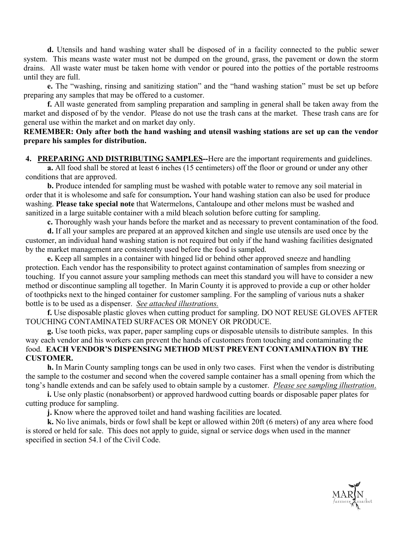**d.** Utensils and hand washing water shall be disposed of in a facility connected to the public sewer system. This means waste water must not be dumped on the ground, grass, the pavement or down the storm drains. All waste water must be taken home with vendor or poured into the potties of the portable restrooms until they are full.

**e.** The "washing, rinsing and sanitizing station" and the "hand washing station" must be set up before preparing any samples that may be offered to a customer.

**f.** All waste generated from sampling preparation and sampling in general shall be taken away from the market and disposed of by the vendor. Please do not use the trash cans at the market. These trash cans are for general use within the market and on market day only.

#### **REMEMBER: Only after both the hand washing and utensil washing stations are set up can the vendor prepare his samples for distribution.**

**4. PREPARING AND DISTRIBUTING SAMPLES--**Here are the important requirements and guidelines. **a.** All food shall be stored at least 6 inches (15 centimeters) off the floor or ground or under any other conditions that are approved.

 **b.** Produce intended for sampling must be washed with potable water to remove any soil material in order that it is wholesome and safe for consumption**.** Your hand washing station can also be used for produce washing. **Please take special note** that Watermelons, Cantaloupe and other melons must be washed and sanitized in a large suitable container with a mild bleach solution before cutting for sampling.

**c.** Thoroughly wash your hands before the market and as necessary to prevent contamination of the food.

**d.** If all your samples are prepared at an approved kitchen and single use utensils are used once by the customer, an individual hand washing station is not required but only if the hand washing facilities designated by the market management are consistently used before the food is sampled.

**e.** Keep all samples in a container with hinged lid or behind other approved sneeze and handling protection. Each vendor has the responsibility to protect against contamination of samples from sneezing or touching. If you cannot assure your sampling methods can meet this standard you will have to consider a new method or discontinue sampling all together. In Marin County it is approved to provide a cup or other holder of toothpicks next to the hinged container for customer sampling. For the sampling of various nuts a shaker bottle is to be used as a dispenser. *See attached illustrations.*

**f.** Use disposable plastic gloves when cutting product for sampling. DO NOT REUSE GLOVES AFTER TOUCHING CONTAMINATED SURFACES OR MONEY OR PRODUCE.

**g.** Use tooth picks, wax paper, paper sampling cups or disposable utensils to distribute samples. In this way each vendor and his workers can prevent the hands of customers from touching and contaminating the food. **EACH VENDOR'S DISPENSING METHOD MUST PREVENT CONTAMINATION BY THE CUSTOMER.** 

 **h.** In Marin County sampling tongs can be used in only two cases. First when the vendor is distributing the sample to the costumer and second when the covered sample container has a small opening from which the tong's handle extends and can be safely used to obtain sample by a customer. *Please see sampling illustration*.

 **i.** Use only plastic (nonabsorbent) or approved hardwood cutting boards or disposable paper plates for cutting produce for sampling.

 **j.** Know where the approved toilet and hand washing facilities are located.

 **k.** No live animals, birds or fowl shall be kept or allowed within 20ft (6 meters) of any area where food is stored or held for sale. This does not apply to guide, signal or service dogs when used in the manner specified in section 54.1 of the Civil Code.

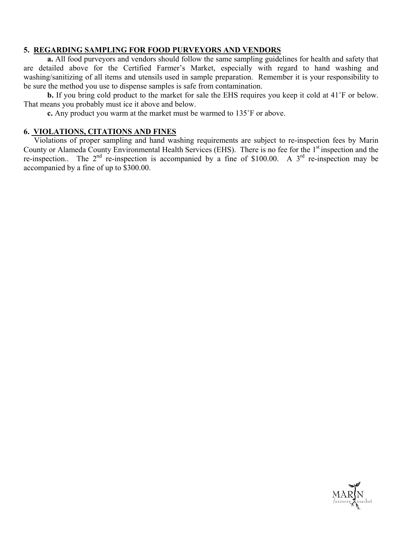## **5. REGARDING SAMPLING FOR FOOD PURVEYORS AND VENDORS**

 **a.** All food purveyors and vendors should follow the same sampling guidelines for health and safety that are detailed above for the Certified Farmer's Market, especially with regard to hand washing and washing/sanitizing of all items and utensils used in sample preparation. Remember it is your responsibility to be sure the method you use to dispense samples is safe from contamination.

**b.** If you bring cold product to the market for sale the EHS requires you keep it cold at 41<sup>°</sup>F or below. That means you probably must ice it above and below.

**c.** Any product you warm at the market must be warmed to 135˚F or above.

## **6. VIOLATIONS, CITATIONS AND FINES**

Violations of proper sampling and hand washing requirements are subject to re-inspection fees by Marin County or Alameda County Environmental Health Services (EHS). There is no fee for the 1<sup>st</sup> inspection and the re-inspection.. The  $2^{nd}$  re-inspection is accompanied by a fine of \$100.00. A  $3^{rd}$  re-inspection may be accompanied by a fine of up to \$300.00.

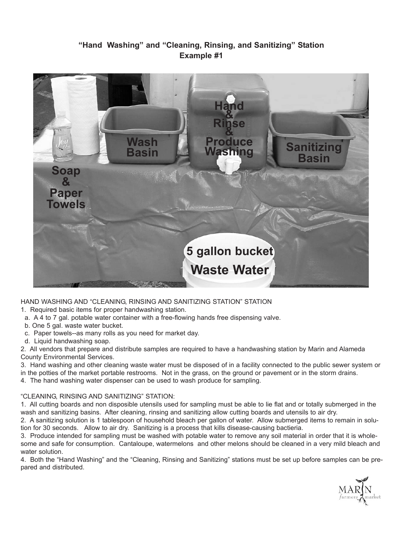# **"Hand Washing" and "Cleaning, Rinsing, and Sanitizing" Station Example #1**



#### HAND WASHING AND "CLEANING, RINSING AND SANITIZING STATION" STATION

- 1. Required basic items for proper handwashing station.
- a. A 4 to 7 gal. potable water container with a free-flowing hands free dispensing valve.
- b. One 5 gal. waste water bucket.
- c. Paper towels--as many rolls as you need for market day.
- d. Liquid handwashing soap.

2. All vendors that prepare and distribute samples are required to have a handwashing station by Marin and Alameda County Environmental Services.

3. Hand washing and other cleaning waste water must be disposed of in a facility connected to the public sewer system or

in the potties of the market portable restrooms. Not in the grass, on the ground or pavement or in the storm drains.

4. The hand washing water dispenser can be used to wash produce for sampling.

#### "CLEANING, RINSING AND SANITIZING" STATION:

1. All cutting boards and non disposible utensils used for sampling must be able to lie flat and or totally submerged in the wash and sanitizing basins. After cleaning, rinsing and sanitizing allow cutting boards and utensils to air dry.

2. A sanitizing solution is 1 tablespoon of household bleach per gallon of water. Allow submerged items to remain in solution for 30 seconds. Allow to air dry. Sanitizing is a process that kills disease-causing bactieria.

3. Produce intended for sampling must be washed with potable water to remove any soil material in order that it is wholesome and safe for consumption. Cantaloupe, watermelons and other melons should be cleaned in a very mild bleach and water solution.

4. Both the "Hand Washing" and the "Cleaning, Rinsing and Sanitizing" stations must be set up before samples can be prepared and distributed.

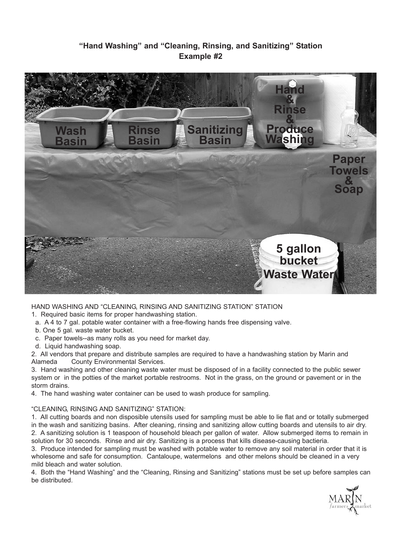# **"Hand Washing" and "Cleaning, Rinsing, and Sanitizing" Station Example #2**



HAND WASHING AND "CLEANING, RINSING AND SANITIZING STATION" STATION

1. Required basic items for proper handwashing station.

- a. A 4 to 7 gal. potable water container with a free-flowing hands free dispensing valve.
- b. One 5 gal. waste water bucket.
- c. Paper towels--as many rolls as you need for market day.
- d. Liquid handwashing soap.

2. All vendors that prepare and distribute samples are required to have a handwashing station by Marin and Alameda County Environmental Services.

3. Hand washing and other cleaning waste water must be disposed of in a facility connected to the public sewer system or in the potties of the market portable restrooms. Not in the grass, on the ground or pavement or in the storm drains.

4. The hand washing water container can be used to wash produce for sampling.

#### "CLEANING, RINSING AND SANITIZING" STATION:

1. All cutting boards and non disposible utensils used for sampling must be able to lie flat and or totally submerged in the wash and sanitizing basins. After cleaning, rinsing and sanitizing allow cutting boards and utensils to air dry. 2. A sanitizing solution is 1 teaspoon of household bleach per gallon of water. Allow submerged items to remain in solution for 30 seconds. Rinse and air dry. Sanitizing is a process that kills disease-causing bactieria.

3. Produce intended for sampling must be washed with potable water to remove any soil material in order that it is wholesome and safe for consumption. Cantaloupe, watermelons and other melons should be cleaned in a very mild bleach and water solution.

4. Both the "Hand Washing" and the "Cleaning, Rinsing and Sanitizing" stations must be set up before samples can be distributed.

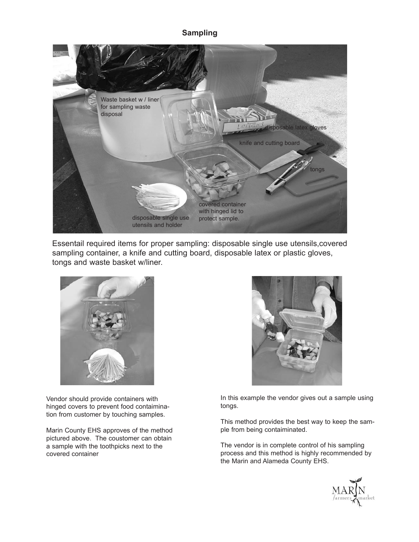### **Sampling**



Essentail required items for proper sampling: disposable single use utensils,covered sampling container, a knife and cutting board, disposable latex or plastic gloves, tongs and waste basket w/liner.



Vendor should provide containers with hinged covers to prevent food contaimination from customer by touching samples.

Marin County EHS approves of the method pictured above. The coustomer can obtain a sample with the toothpicks next to the covered container



In this example the vendor gives out a sample using tongs.

This method provides the best way to keep the sample from being contaiminated.

The vendor is in complete control of his sampling process and this method is highly recommended by the Marin and Alameda County EHS.

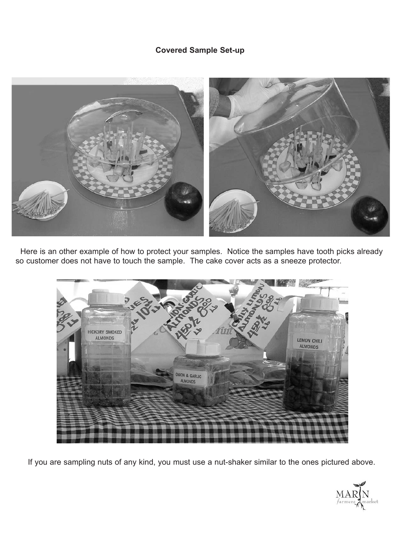# **Covered Sample Set-up**



Here is an other example of how to protect your samples. Notice the samples have tooth picks already so customer does not have to touch the sample. The cake cover acts as a sneeze protector.



If you are sampling nuts of any kind, you must use a nut-shaker similar to the ones pictured above.